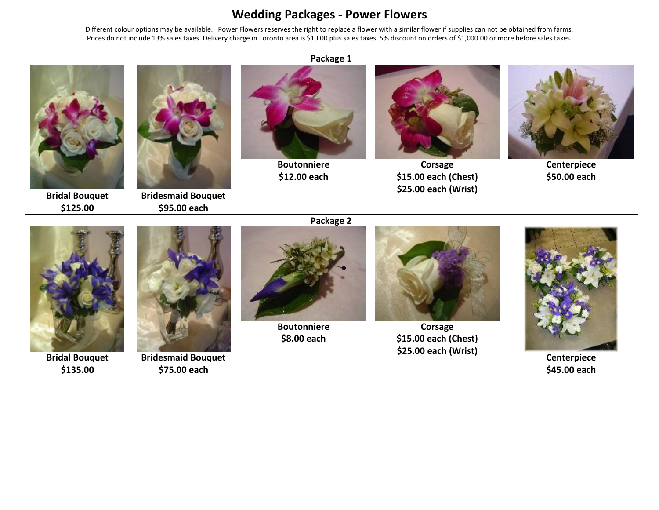## **Wedding Packages - Power Flowers**

Different colour options may be available. Power Flowers reserves the right to replace a flower with a similar flower if supplies can not be obtained from farms. Prices do not include 13% sales taxes. Delivery charge in Toronto area is \$10.00 plus sales taxes. 5% discount on orders of \$1,000.00 or more before sales taxes.



**Bridal Bouquet \$125.00**



**Bridesmaid Bouquet \$95.00 each**

## **Package 1**

**Boutonniere \$12.00 each**



**Corsage \$15.00 each (Chest) \$25.00 each (Wrist)**



**Centerpiece \$50.00 each**



**Bridal Bouquet \$135.00**



**Bridesmaid Bouquet \$75.00 each**



**Boutonniere \$8.00 each**



**Corsage \$15.00 each (Chest) \$25.00 each (Wrist)**



**Centerpiece \$45.00 each**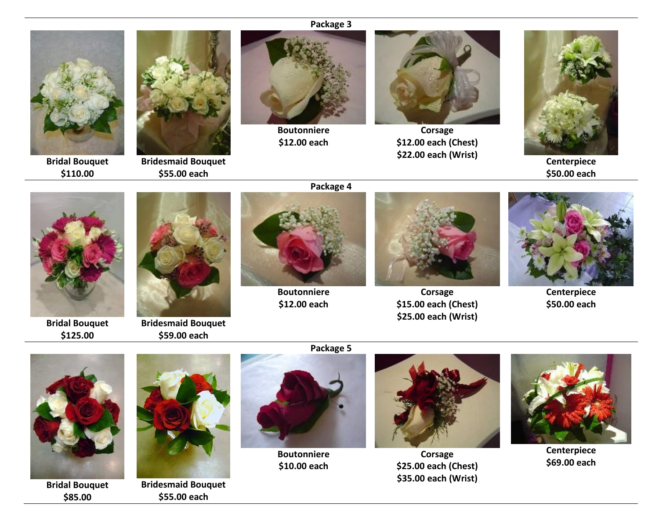**Package 3**



**Bridal Bouquet \$110.00**



**Bridesmaid Bouquet \$55.00 each**



**Boutonniere \$12.00 each**



**Corsage \$12.00 each (Chest) \$22.00 each (Wrist)**



**Centerpiece \$50.00 each**



**Bridal Bouquet \$125.00**



**Bridesmaid Bouquet \$59.00 each**



**Boutonniere \$12.00 each**



**Corsage \$15.00 each (Chest) \$25.00 each (Wrist)**



**Centerpiece \$50.00 each**



**Bridal Bouquet \$85.00**



**Bridesmaid Bouquet \$55.00 each**



**Boutonniere \$10.00 each**



**Corsage \$25.00 each (Chest) \$35.00 each (Wrist)**



**Centerpiece \$69.00 each**